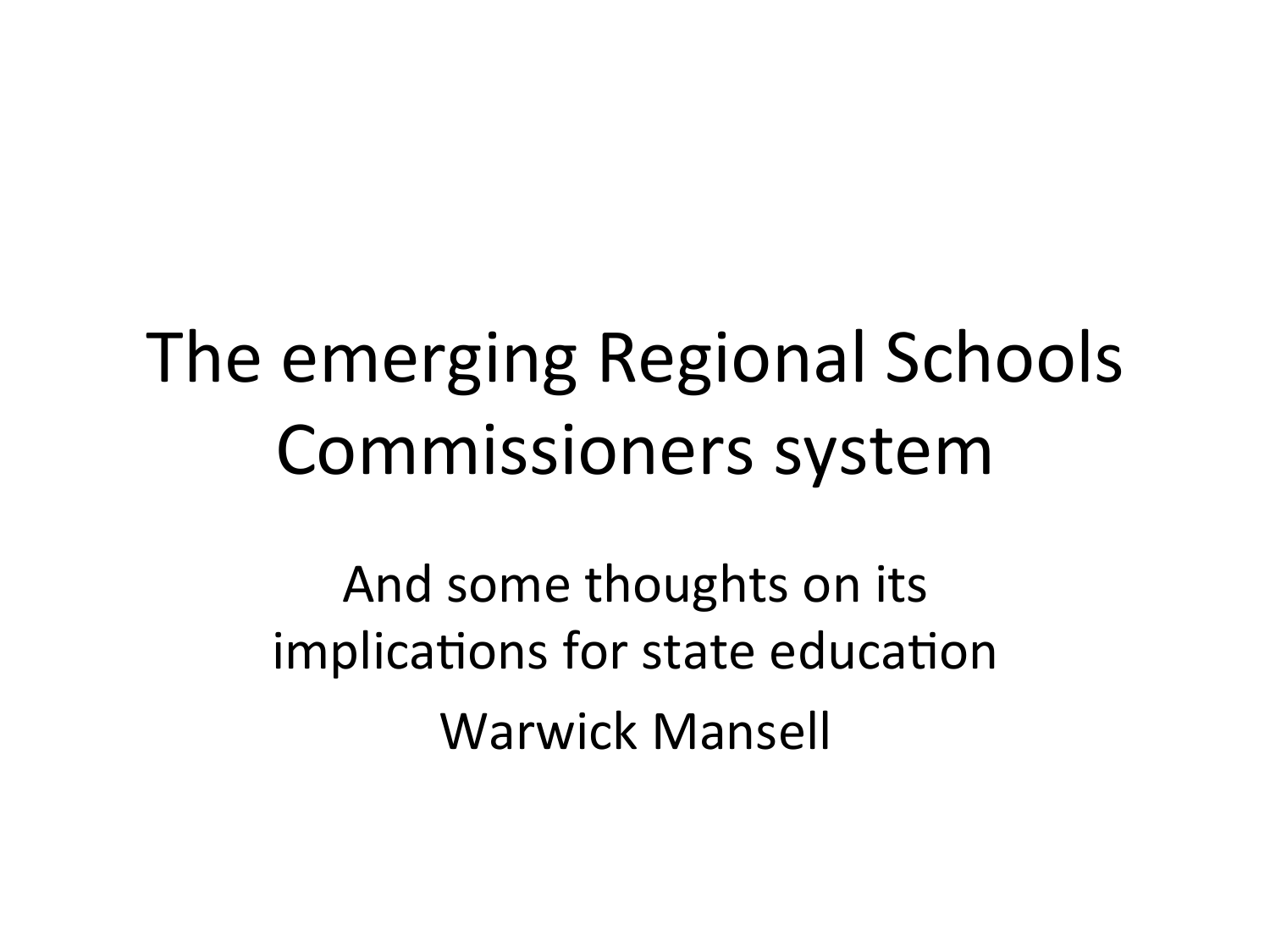## The emerging Regional Schools Commissioners system

And some thoughts on its implications for state education Warwick Mansell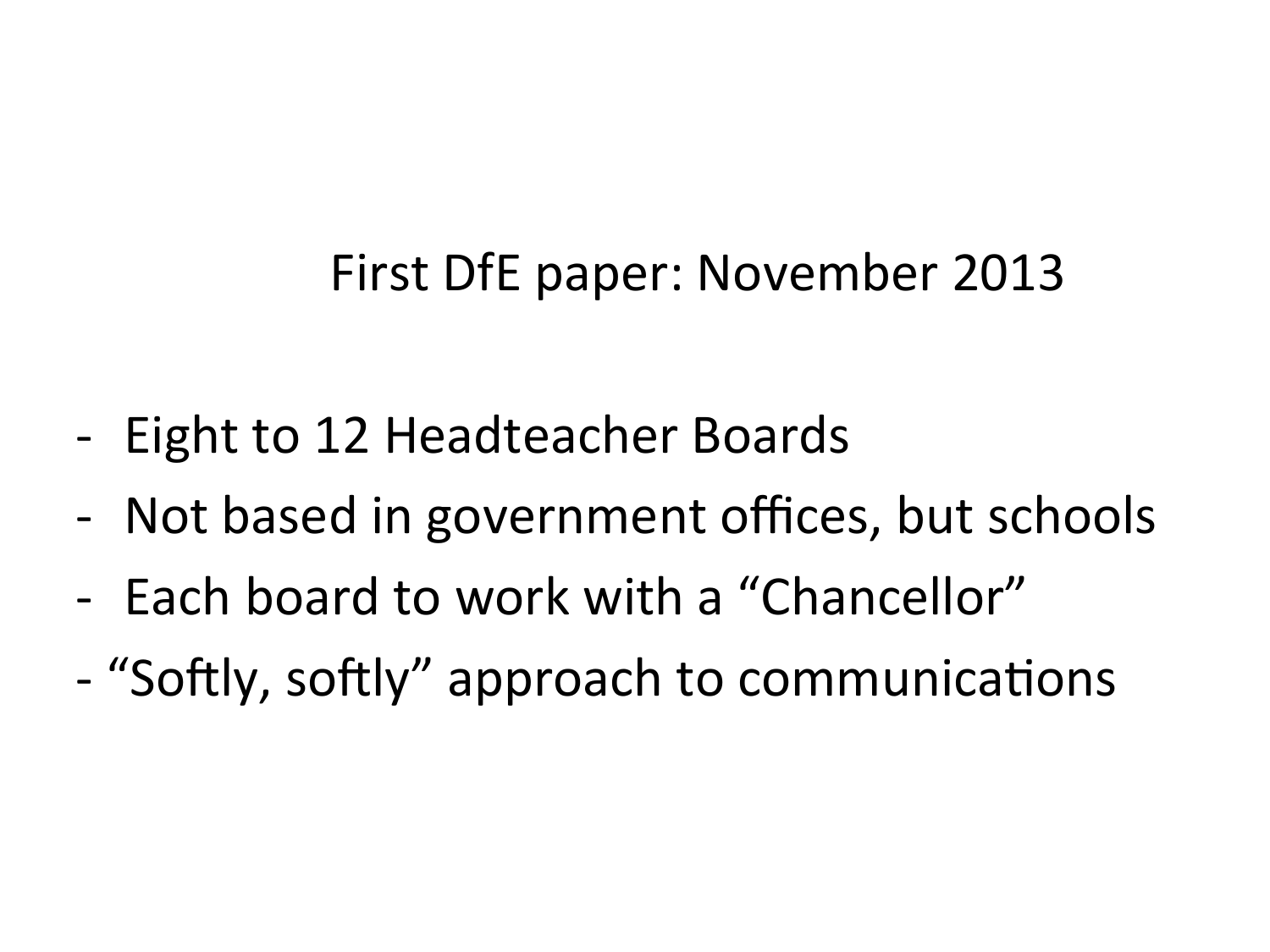#### First DfE paper: November 2013

- Eight to 12 Headteacher Boards
- Not based in government offices, but schools
- Each board to work with a "Chancellor"
- "Softly, softly" approach to communications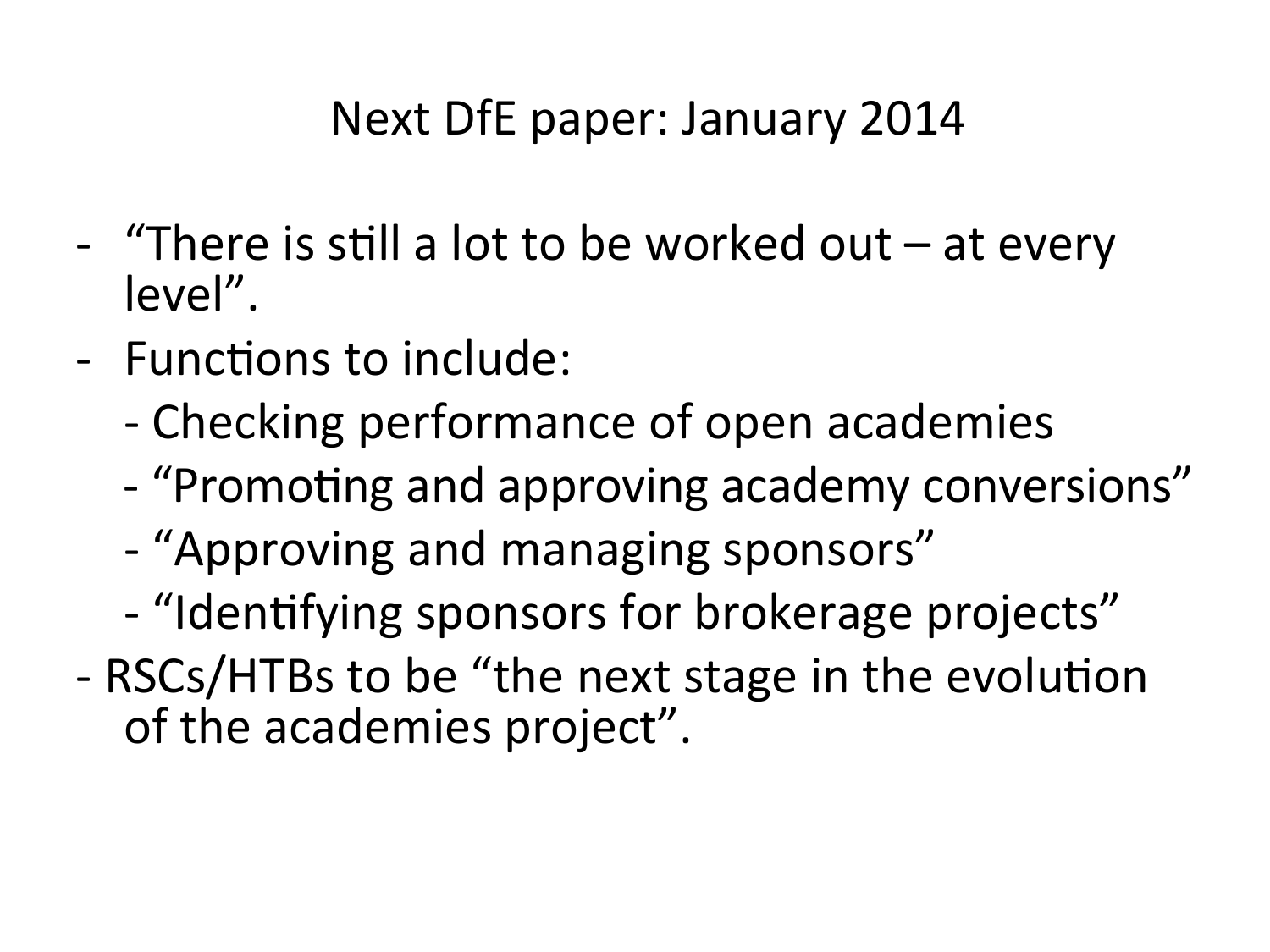#### Next DfE paper: January 2014

- "There is still a lot to be worked out  $-$  at every level".
- Functions to include:
	- Checking performance of open academies
	- "Promoting and approving academy conversions"
	- "Approving and managing sponsors"
	- "Identifying sponsors for brokerage projects"
- RSCs/HTBs to be "the next stage in the evolution of the academies project".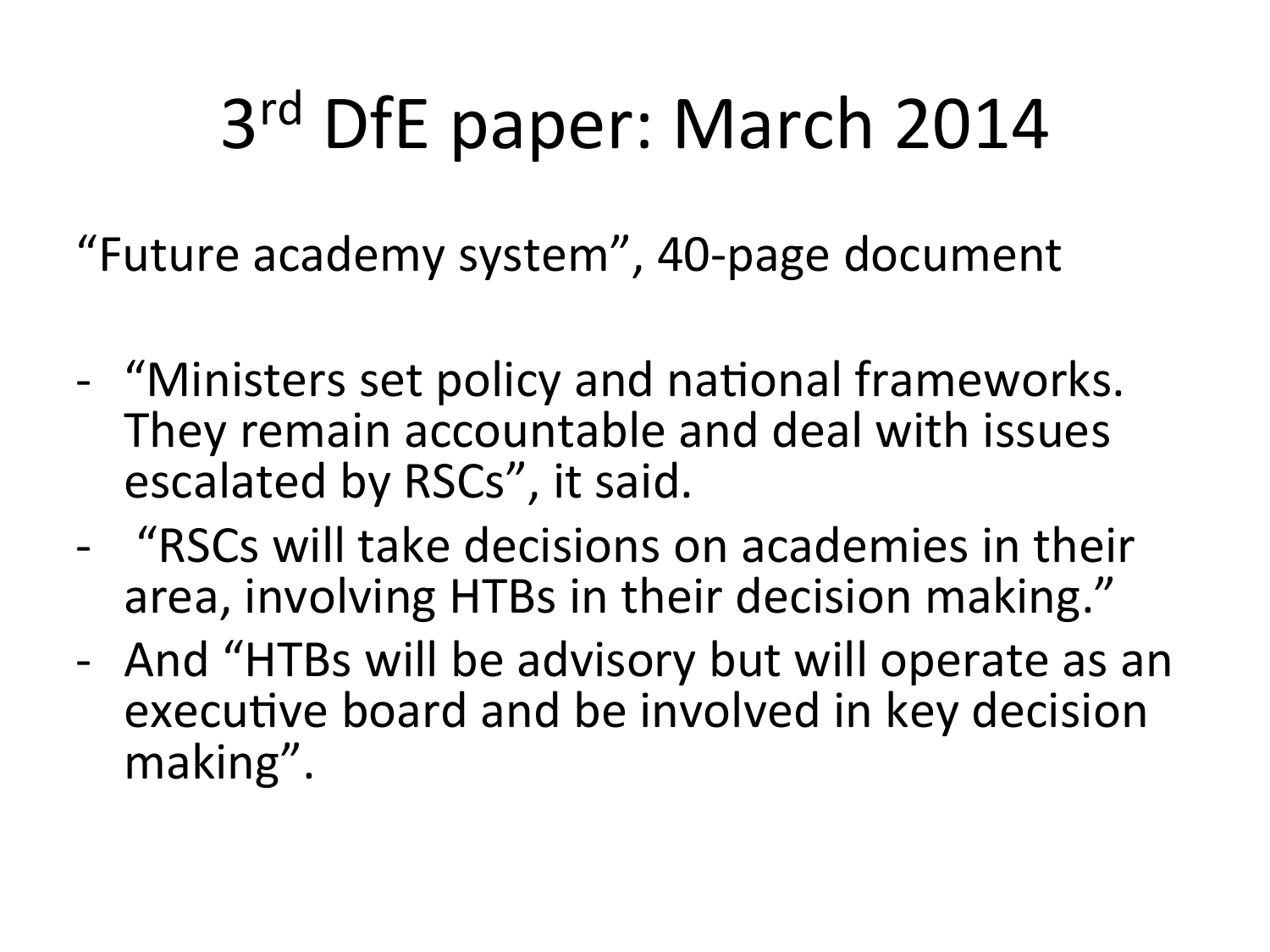# 3<sup>rd</sup> DfE paper: March 2014

"Future academy system", 40-page document

- "Ministers set policy and national frameworks. They remain accountable and deal with issues escalated by RSCs", it said.
- "RSCs will take decisions on academies in their area, involving HTBs in their decision making."
- And "HTBs will be advisory but will operate as an executive board and be involved in key decision making".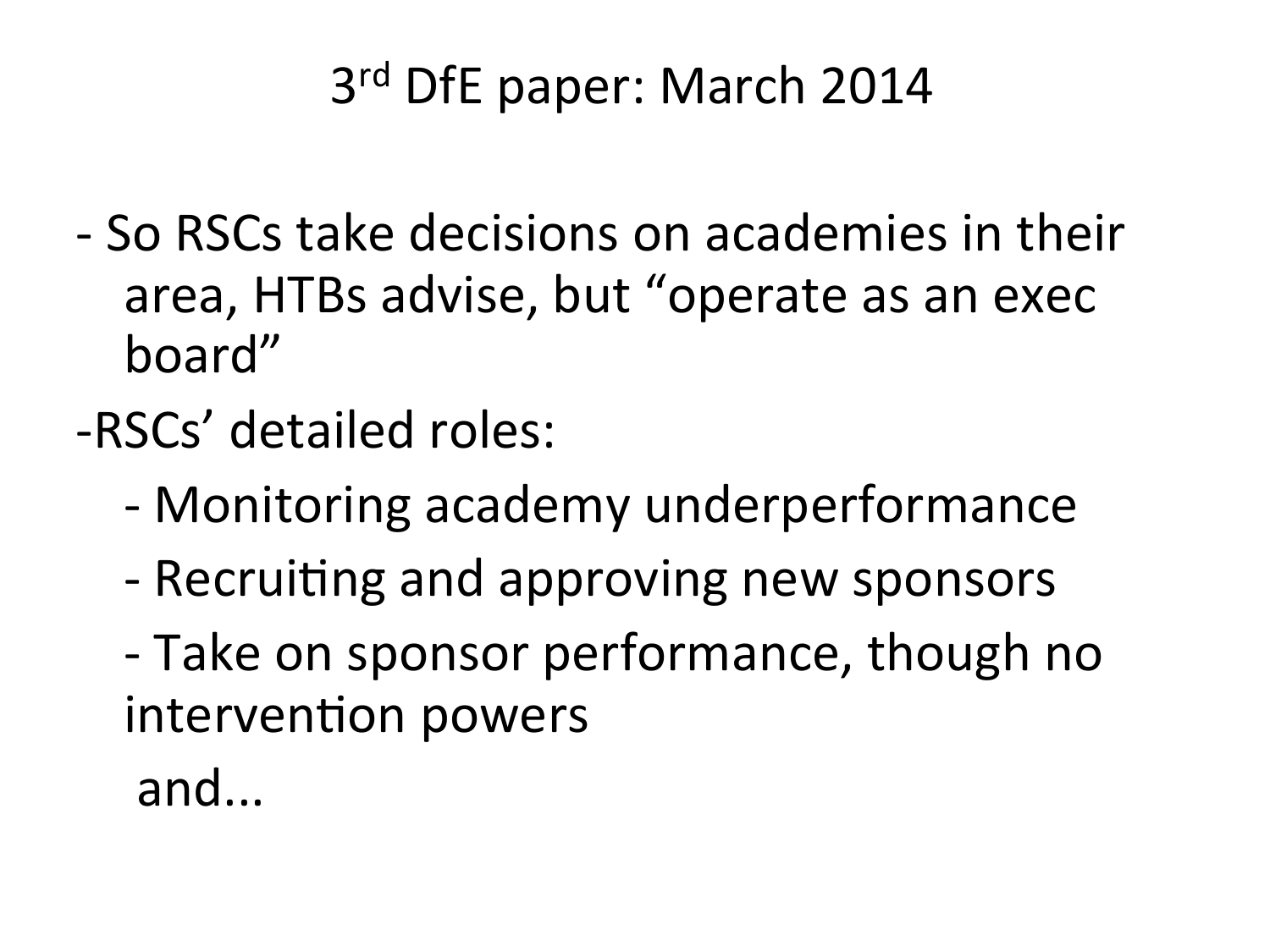#### 3<sup>rd</sup> DfE paper: March 2014

- - So RSCs take decisions on academies in their area, HTBs advise, but "operate as an exec board"
- -RSCs' detailed roles:
	- Monitoring academy underperformance
	- Recruiting and approving new sponsors
	- Take on sponsor performance, though no intervention powers

 and...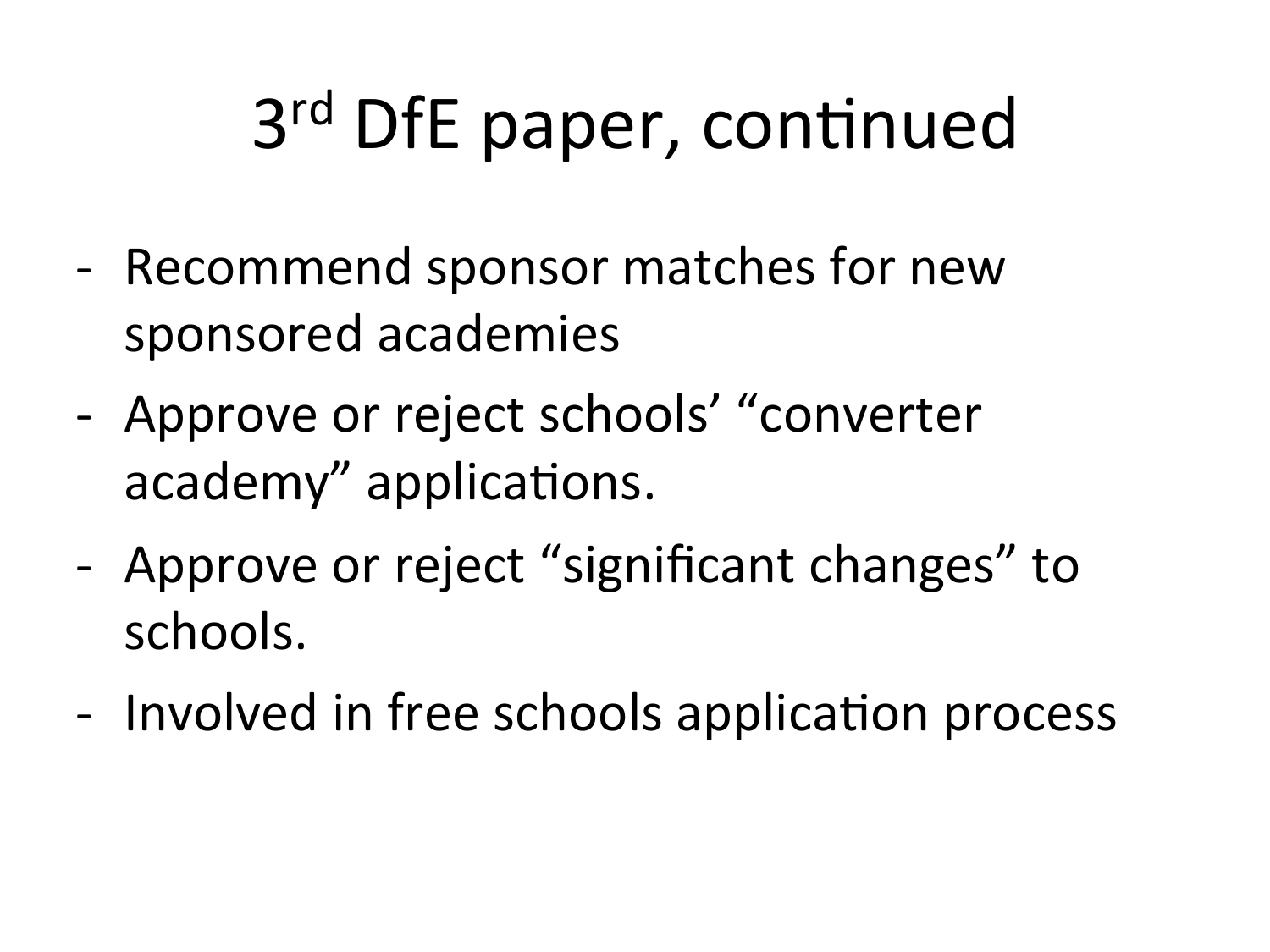# 3<sup>rd</sup> DfE paper, continued

- Recommend sponsor matches for new sponsored academies
- Approve or reject schools' "converter academy" applications.
- Approve or reject "significant changes" to schools.
- Involved in free schools application process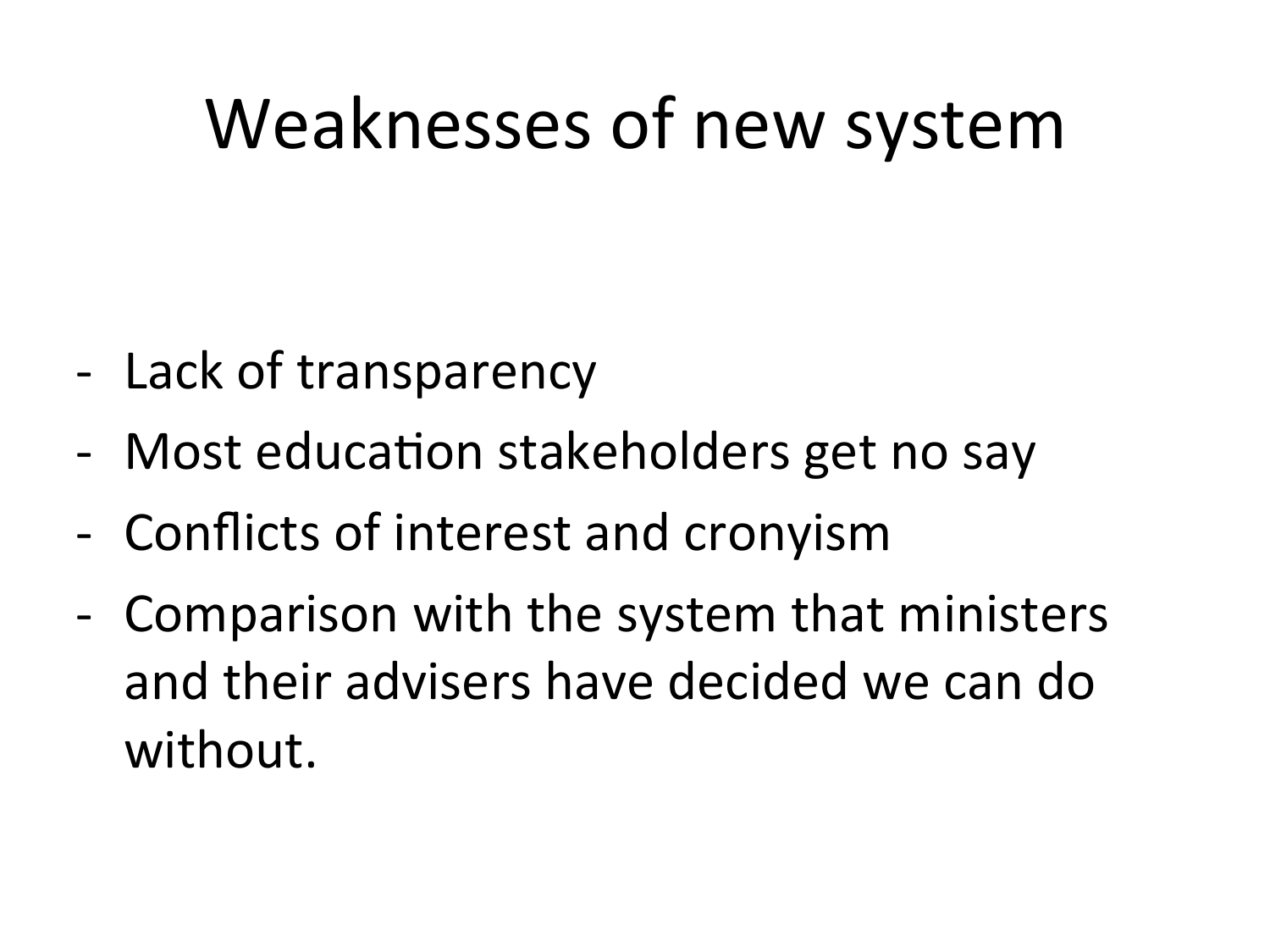### Weaknesses of new system

- Lack of transparency
- Most education stakeholders get no say
- Conflicts of interest and cronyism
- Comparison with the system that ministers and their advisers have decided we can do without.